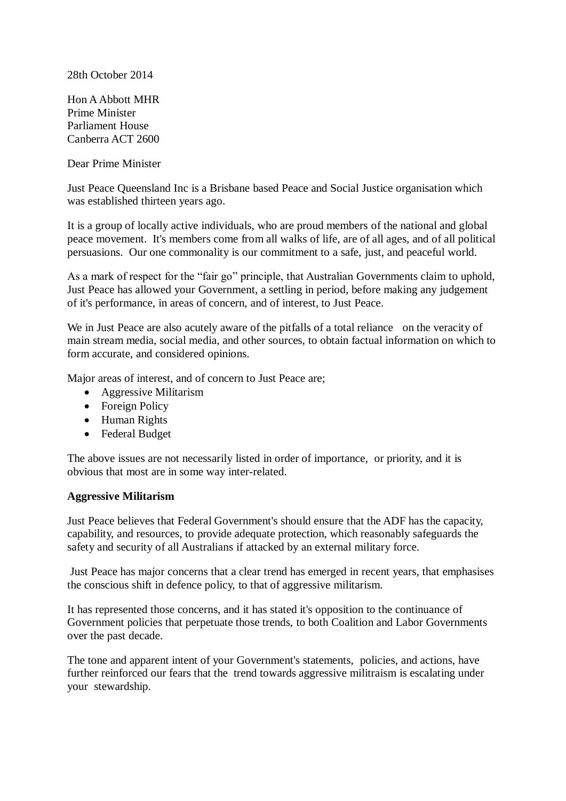28th October 2014

Hon A Abbott MHR Prime Minister Parliament House Canberra ACT 2600

Dear Prime Minister

Just Peace Queensland Inc is a Brisbane based Peace and Social Justice organisation which was established thirteen years ago.

It is a group of locally active individuals, who are proud members of the national and global peace movement. It's members come from all walks of life, are of all ages, and of all political persuasions. Our one commonality is our commitment to a safe, just, and peaceful world.

As a mark of respect for the "fair go" principle, that Australian Governments claim to uphold, Just Peace has allowed your Government, a settling in period, before making any judgement of it's performance, in areas of concern, and of interest, to Just Peace.

We in Just Peace are also acutely aware of the pitfalls of a total reliance on the veracity of main stream media, social media, and other sources, to obtain factual information on which to form accurate, and considered opinions.

Major areas of interest, and of concern to Just Peace are;

- Aggressive Militarism
- Foreign Policy
- Human Rights
- Federal Budget

The above issues are not necessarily listed in order of importance, or priority, and it is obvious that most are in some way inter-related.

#### **Aggressive Militarism**

Just Peace believes that Federal Government's should ensure that the ADF has the capacity, capability, and resources, to provide adequate protection, which reasonably safeguards the safety and security of all Australians if attacked by an external military force.

Just Peace has major concerns that a clear trend has emerged in recent years, that emphasises the conscious shift in defence policy, to that of aggressive militarism.

It has represented those concerns, and it has stated it's opposition to the continuance of Government policies that perpetuate those trends, to both Coalition and Labor Governments over the past decade.

The tone and apparent intent of your Government's statements, policies, and actions, have further reinforced our fears that the trend towards aggressive militraism is escalating under your stewardship.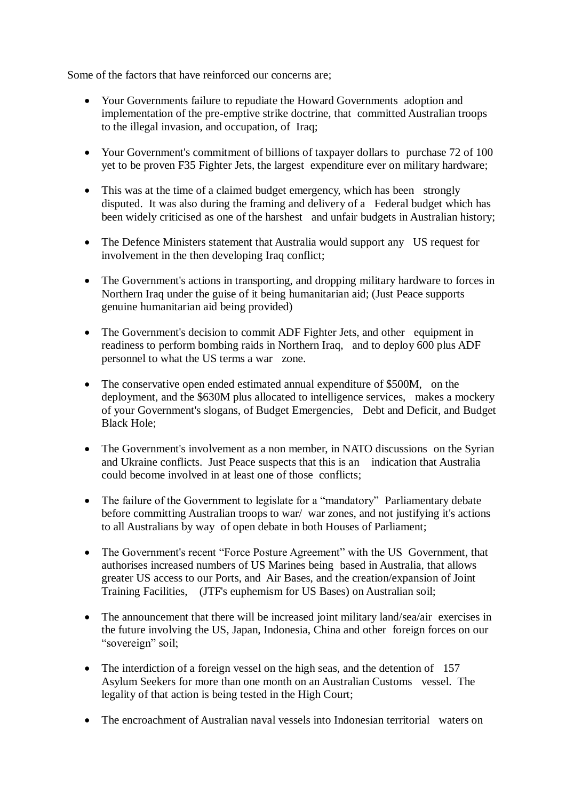Some of the factors that have reinforced our concerns are;

- Your Governments failure to repudiate the Howard Governments adoption and implementation of the pre-emptive strike doctrine, that committed Australian troops to the illegal invasion, and occupation, of Iraq;
- Your Government's commitment of billions of taxpayer dollars to purchase 72 of 100 yet to be proven F35 Fighter Jets, the largest expenditure ever on military hardware;
- This was at the time of a claimed budget emergency, which has been strongly disputed. It was also during the framing and delivery of a Federal budget which has been widely criticised as one of the harshest and unfair budgets in Australian history;
- The Defence Ministers statement that Australia would support any US request for involvement in the then developing Iraq conflict;
- The Government's actions in transporting, and dropping military hardware to forces in Northern Iraq under the guise of it being humanitarian aid; (Just Peace supports genuine humanitarian aid being provided)
- The Government's decision to commit ADF Fighter Jets, and other equipment in readiness to perform bombing raids in Northern Iraq, and to deploy 600 plus ADF personnel to what the US terms a war zone.
- The conservative open ended estimated annual expenditure of \$500M, on the deployment, and the \$630M plus allocated to intelligence services, makes a mockery of your Government's slogans, of Budget Emergencies, Debt and Deficit, and Budget Black Hole;
- The Government's involvement as a non member, in NATO discussions on the Syrian and Ukraine conflicts. Just Peace suspects that this is an indication that Australia could become involved in at least one of those conflicts;
- The failure of the Government to legislate for a "mandatory" Parliamentary debate before committing Australian troops to war/ war zones, and not justifying it's actions to all Australians by way of open debate in both Houses of Parliament;
- The Government's recent "Force Posture Agreement" with the US Government, that authorises increased numbers of US Marines being based in Australia, that allows greater US access to our Ports, and Air Bases, and the creation/expansion of Joint Training Facilities, (JTF's euphemism for US Bases) on Australian soil;
- The announcement that there will be increased joint military land/sea/air exercises in the future involving the US, Japan, Indonesia, China and other foreign forces on our "sovereign" soil;
- The interdiction of a foreign vessel on the high seas, and the detention of 157 Asylum Seekers for more than one month on an Australian Customs vessel. The legality of that action is being tested in the High Court;
- The encroachment of Australian naval vessels into Indonesian territorial waters on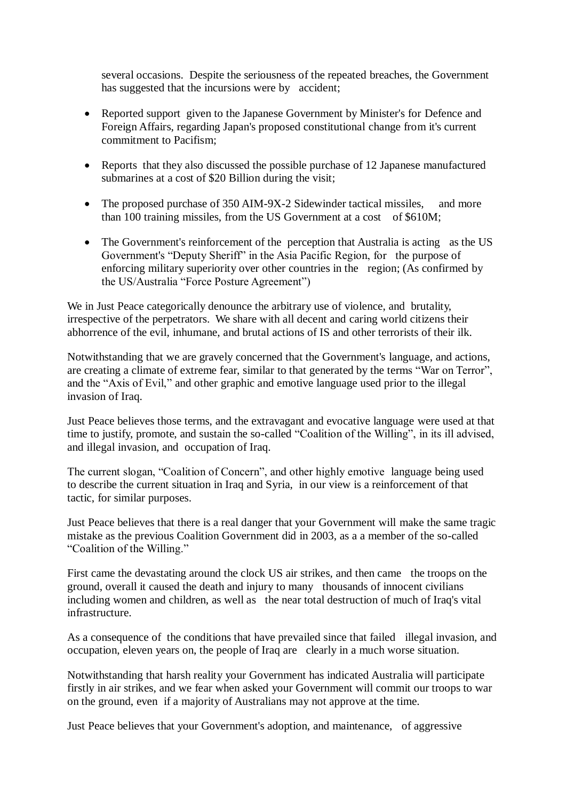several occasions. Despite the seriousness of the repeated breaches, the Government has suggested that the incursions were by accident;

- Reported support given to the Japanese Government by Minister's for Defence and Foreign Affairs, regarding Japan's proposed constitutional change from it's current commitment to Pacifism;
- Reports that they also discussed the possible purchase of 12 Japanese manufactured submarines at a cost of \$20 Billion during the visit;
- The proposed purchase of 350 AIM-9X-2 Sidewinder tactical missiles, and more than 100 training missiles, from the US Government at a cost of \$610M;
- The Government's reinforcement of the perception that Australia is acting as the US Government's "Deputy Sheriff" in the Asia Pacific Region, for the purpose of enforcing military superiority over other countries in the region; (As confirmed by the US/Australia "Force Posture Agreement")

We in Just Peace categorically denounce the arbitrary use of violence, and brutality, irrespective of the perpetrators. We share with all decent and caring world citizens their abhorrence of the evil, inhumane, and brutal actions of IS and other terrorists of their ilk.

Notwithstanding that we are gravely concerned that the Government's language, and actions, are creating a climate of extreme fear, similar to that generated by the terms "War on Terror", and the "Axis of Evil," and other graphic and emotive language used prior to the illegal invasion of Iraq.

Just Peace believes those terms, and the extravagant and evocative language were used at that time to justify, promote, and sustain the so-called "Coalition of the Willing", in its ill advised, and illegal invasion, and occupation of Iraq.

The current slogan, "Coalition of Concern", and other highly emotive language being used to describe the current situation in Iraq and Syria, in our view is a reinforcement of that tactic, for similar purposes.

Just Peace believes that there is a real danger that your Government will make the same tragic mistake as the previous Coalition Government did in 2003, as a a member of the so-called "Coalition of the Willing."

First came the devastating around the clock US air strikes, and then came the troops on the ground, overall it caused the death and injury to many thousands of innocent civilians including women and children, as well as the near total destruction of much of Iraq's vital infrastructure.

As a consequence of the conditions that have prevailed since that failed illegal invasion, and occupation, eleven years on, the people of Iraq are clearly in a much worse situation.

Notwithstanding that harsh reality your Government has indicated Australia will participate firstly in air strikes, and we fear when asked your Government will commit our troops to war on the ground, even if a majority of Australians may not approve at the time.

Just Peace believes that your Government's adoption, and maintenance, of aggressive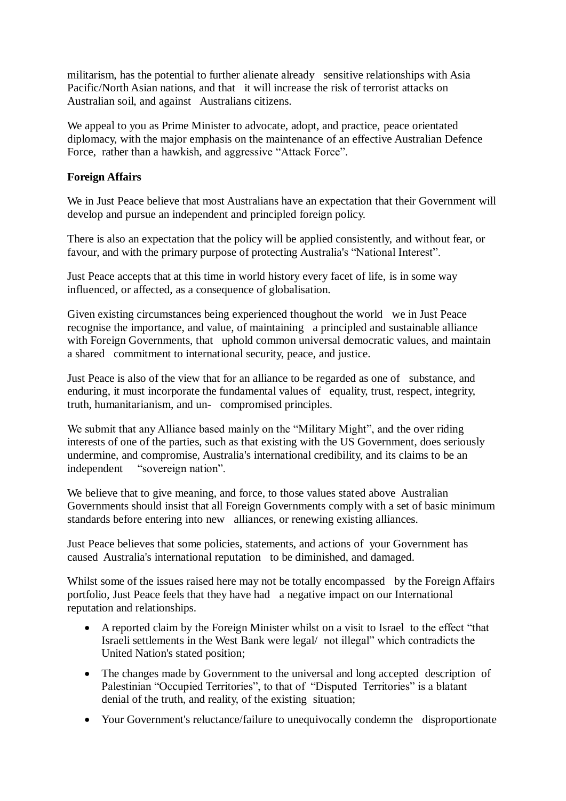militarism, has the potential to further alienate already sensitive relationships with Asia Pacific/North Asian nations, and that it will increase the risk of terrorist attacks on Australian soil, and against Australians citizens.

We appeal to you as Prime Minister to advocate, adopt, and practice, peace orientated diplomacy, with the major emphasis on the maintenance of an effective Australian Defence Force, rather than a hawkish, and aggressive "Attack Force".

### **Foreign Affairs**

We in Just Peace believe that most Australians have an expectation that their Government will develop and pursue an independent and principled foreign policy.

There is also an expectation that the policy will be applied consistently, and without fear, or favour, and with the primary purpose of protecting Australia's "National Interest".

Just Peace accepts that at this time in world history every facet of life, is in some way influenced, or affected, as a consequence of globalisation.

Given existing circumstances being experienced thoughout the world we in Just Peace recognise the importance, and value, of maintaining a principled and sustainable alliance with Foreign Governments, that uphold common universal democratic values, and maintain a shared commitment to international security, peace, and justice.

Just Peace is also of the view that for an alliance to be regarded as one of substance, and enduring, it must incorporate the fundamental values of equality, trust, respect, integrity, truth, humanitarianism, and un- compromised principles.

We submit that any Alliance based mainly on the "Military Might", and the over riding interests of one of the parties, such as that existing with the US Government, does seriously undermine, and compromise, Australia's international credibility, and its claims to be an independent "sovereign nation".

We believe that to give meaning, and force, to those values stated above Australian Governments should insist that all Foreign Governments comply with a set of basic minimum standards before entering into new alliances, or renewing existing alliances.

Just Peace believes that some policies, statements, and actions of your Government has caused Australia's international reputation to be diminished, and damaged.

Whilst some of the issues raised here may not be totally encompassed by the Foreign Affairs portfolio, Just Peace feels that they have had a negative impact on our International reputation and relationships.

- A reported claim by the Foreign Minister whilst on a visit to Israel to the effect "that Israeli settlements in the West Bank were legal/ not illegal" which contradicts the United Nation's stated position;
- The changes made by Government to the universal and long accepted description of Palestinian "Occupied Territories", to that of "Disputed Territories" is a blatant denial of the truth, and reality, of the existing situation;
- Your Government's reluctance/failure to unequivocally condemn the disproportionate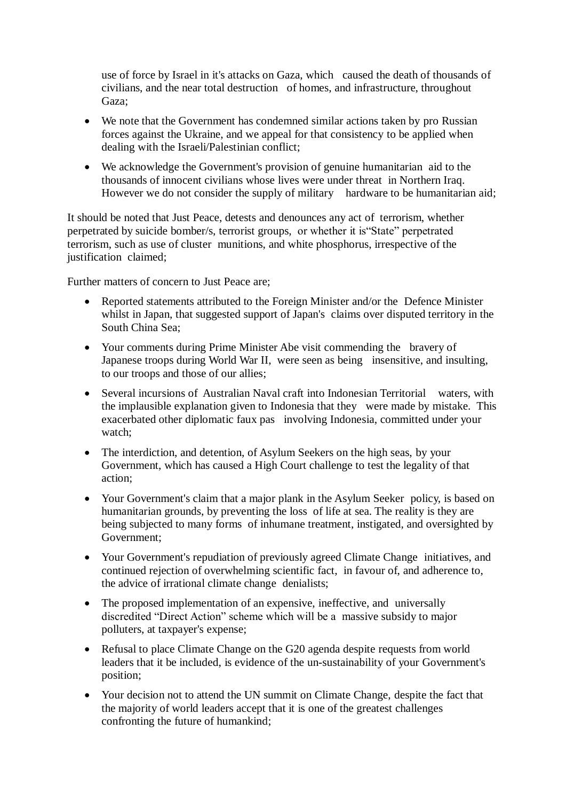use of force by Israel in it's attacks on Gaza, which caused the death of thousands of civilians, and the near total destruction of homes, and infrastructure, throughout Gaza;

- We note that the Government has condemned similar actions taken by pro Russian forces against the Ukraine, and we appeal for that consistency to be applied when dealing with the Israeli/Palestinian conflict;
- We acknowledge the Government's provision of genuine humanitarian aid to the thousands of innocent civilians whose lives were under threat in Northern Iraq. However we do not consider the supply of military hardware to be humanitarian aid;

It should be noted that Just Peace, detests and denounces any act of terrorism, whether perpetrated by suicide bomber/s, terrorist groups, or whether it is"State" perpetrated terrorism, such as use of cluster munitions, and white phosphorus, irrespective of the justification claimed;

Further matters of concern to Just Peace are;

- Reported statements attributed to the Foreign Minister and/or the Defence Minister whilst in Japan, that suggested support of Japan's claims over disputed territory in the South China Sea;
- Your comments during Prime Minister Abe visit commending the bravery of Japanese troops during World War II, were seen as being insensitive, and insulting, to our troops and those of our allies;
- Several incursions of Australian Naval craft into Indonesian Territorial waters, with the implausible explanation given to Indonesia that they were made by mistake. This exacerbated other diplomatic faux pas involving Indonesia, committed under your watch;
- The interdiction, and detention, of Asylum Seekers on the high seas, by your Government, which has caused a High Court challenge to test the legality of that action;
- Your Government's claim that a major plank in the Asylum Seeker policy, is based on humanitarian grounds, by preventing the loss of life at sea. The reality is they are being subjected to many forms of inhumane treatment, instigated, and oversighted by Government;
- Your Government's repudiation of previously agreed Climate Change initiatives, and continued rejection of overwhelming scientific fact, in favour of, and adherence to, the advice of irrational climate change denialists;
- The proposed implementation of an expensive, ineffective, and universally discredited "Direct Action" scheme which will be a massive subsidy to major polluters, at taxpayer's expense;
- Refusal to place Climate Change on the G20 agenda despite requests from world leaders that it be included, is evidence of the un-sustainability of your Government's position;
- Your decision not to attend the UN summit on Climate Change, despite the fact that the majority of world leaders accept that it is one of the greatest challenges confronting the future of humankind;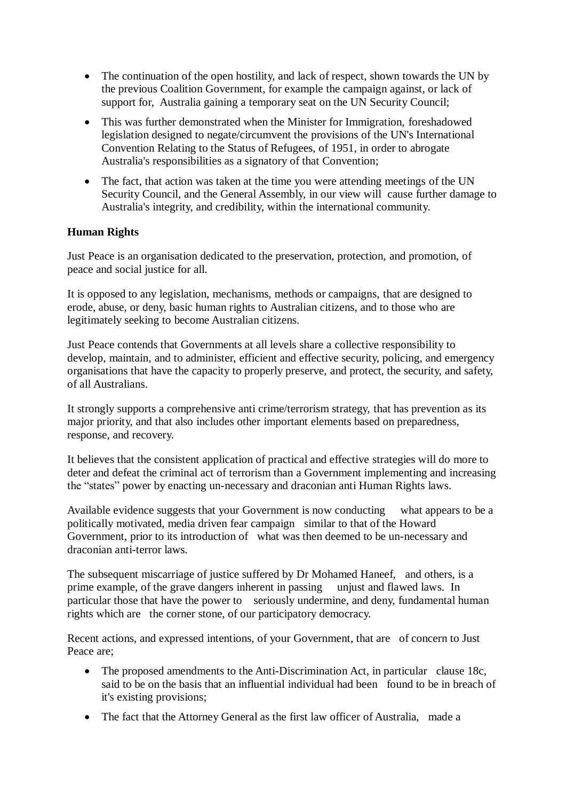- The continuation of the open hostility, and lack of respect, shown towards the UN by the previous Coalition Government, for example the campaign against, or lack of support for, Australia gaining a temporary seat on the UN Security Council;
- This was further demonstrated when the Minister for Immigration, foreshadowed legislation designed to negate/circumvent the provisions of the UN's International Convention Relating to the Status of Refugees, of 1951, in order to abrogate Australia's responsibilities as a signatory of that Convention;
- The fact, that action was taken at the time you were attending meetings of the UN Security Council, and the General Assembly, in our view will cause further damage to Australia's integrity, and credibility, within the international community.

# **Human Rights**

Just Peace is an organisation dedicated to the preservation, protection, and promotion, of peace and social justice for all.

It is opposed to any legislation, mechanisms, methods or campaigns, that are designed to erode, abuse, or deny, basic human rights to Australian citizens, and to those who are legitimately seeking to become Australian citizens.

Just Peace contends that Governments at all levels share a collective responsibility to develop, maintain, and to administer, efficient and effective security, policing, and emergency organisations that have the capacity to properly preserve, and protect, the security, and safety, of all Australians.

It strongly supports a comprehensive anti crime/terrorism strategy, that has prevention as its major priority, and that also includes other important elements based on preparedness, response, and recovery.

It believes that the consistent application of practical and effective strategies will do more to deter and defeat the criminal act of terrorism than a Government implementing and increasing the "states" power by enacting un-necessary and draconian anti Human Rights laws.

Available evidence suggests that your Government is now conducting what appears to be a politically motivated, media driven fear campaign similar to that of the Howard Government, prior to its introduction of what was then deemed to be un-necessary and draconian anti-terror laws.

The subsequent miscarriage of justice suffered by Dr Mohamed Haneef, and others, is a prime example, of the grave dangers inherent in passing unjust and flawed laws. In particular those that have the power to seriously undermine, and deny, fundamental human rights which are the corner stone, of our participatory democracy.

Recent actions, and expressed intentions, of your Government, that are of concern to Just Peace are;

- The proposed amendments to the Anti-Discrimination Act, in particular clause 18c, said to be on the basis that an influential individual had been found to be in breach of it's existing provisions;
- The fact that the Attorney General as the first law officer of Australia, made a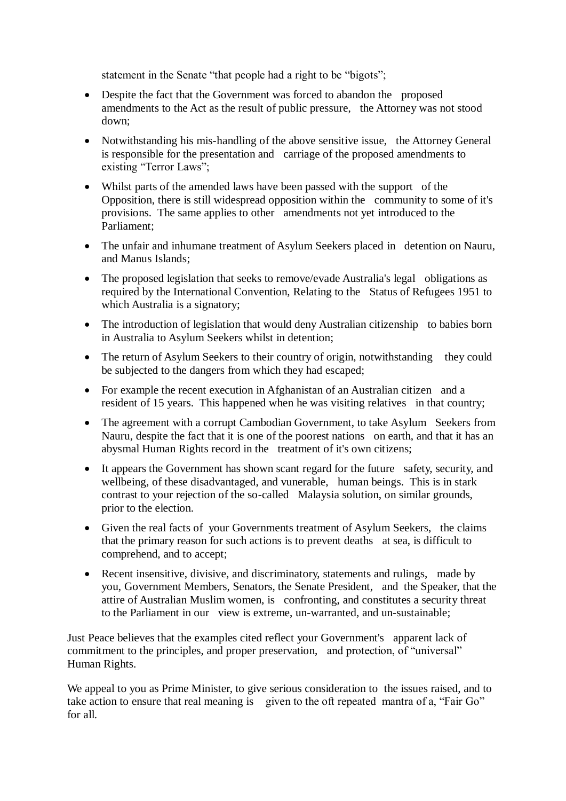statement in the Senate "that people had a right to be "bigots";

- Despite the fact that the Government was forced to abandon the proposed amendments to the Act as the result of public pressure, the Attorney was not stood down;
- Notwithstanding his mis-handling of the above sensitive issue, the Attorney General is responsible for the presentation and carriage of the proposed amendments to existing "Terror Laws";
- Whilst parts of the amended laws have been passed with the support of the Opposition, there is still widespread opposition within the community to some of it's provisions. The same applies to other amendments not yet introduced to the Parliament;
- The unfair and inhumane treatment of Asylum Seekers placed in detention on Nauru, and Manus Islands;
- The proposed legislation that seeks to remove/evade Australia's legal obligations as required by the International Convention, Relating to the Status of Refugees 1951 to which Australia is a signatory;
- The introduction of legislation that would deny Australian citizenship to babies born in Australia to Asylum Seekers whilst in detention;
- The return of Asylum Seekers to their country of origin, notwithstanding they could be subjected to the dangers from which they had escaped;
- For example the recent execution in Afghanistan of an Australian citizen and a resident of 15 years. This happened when he was visiting relatives in that country;
- The agreement with a corrupt Cambodian Government, to take Asylum Seekers from Nauru, despite the fact that it is one of the poorest nations on earth, and that it has an abysmal Human Rights record in the treatment of it's own citizens;
- It appears the Government has shown scant regard for the future safety, security, and wellbeing, of these disadvantaged, and vunerable, human beings. This is in stark contrast to your rejection of the so-called Malaysia solution, on similar grounds, prior to the election.
- Given the real facts of your Governments treatment of Asylum Seekers, the claims that the primary reason for such actions is to prevent deaths at sea, is difficult to comprehend, and to accept;
- Recent insensitive, divisive, and discriminatory, statements and rulings, made by you, Government Members, Senators, the Senate President, and the Speaker, that the attire of Australian Muslim women, is confronting, and constitutes a security threat to the Parliament in our view is extreme, un-warranted, and un-sustainable;

Just Peace believes that the examples cited reflect your Government's apparent lack of commitment to the principles, and proper preservation, and protection, of "universal" Human Rights.

We appeal to you as Prime Minister, to give serious consideration to the issues raised, and to take action to ensure that real meaning is given to the oft repeated mantra of a, "Fair Go" for all.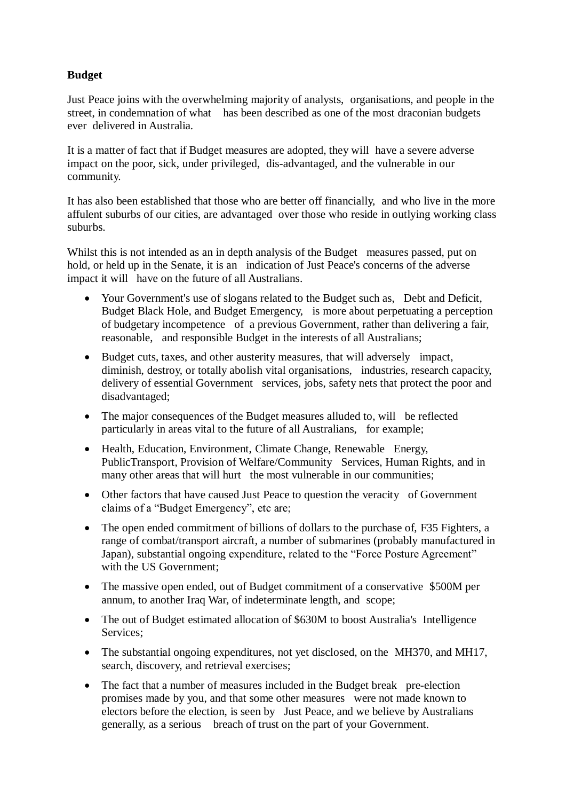# **Budget**

Just Peace joins with the overwhelming majority of analysts, organisations, and people in the street, in condemnation of what has been described as one of the most draconian budgets ever delivered in Australia.

It is a matter of fact that if Budget measures are adopted, they will have a severe adverse impact on the poor, sick, under privileged, dis-advantaged, and the vulnerable in our community.

It has also been established that those who are better off financially, and who live in the more affulent suburbs of our cities, are advantaged over those who reside in outlying working class suburbs.

Whilst this is not intended as an in depth analysis of the Budget measures passed, put on hold, or held up in the Senate, it is an indication of Just Peace's concerns of the adverse impact it will have on the future of all Australians.

- Your Government's use of slogans related to the Budget such as, Debt and Deficit, Budget Black Hole, and Budget Emergency, is more about perpetuating a perception of budgetary incompetence of a previous Government, rather than delivering a fair, reasonable, and responsible Budget in the interests of all Australians;
- Budget cuts, taxes, and other austerity measures, that will adversely impact, diminish, destroy, or totally abolish vital organisations, industries, research capacity, delivery of essential Government services, jobs, safety nets that protect the poor and disadvantaged;
- The major consequences of the Budget measures alluded to, will be reflected particularly in areas vital to the future of all Australians, for example;
- Health, Education, Environment, Climate Change, Renewable Energy, PublicTransport, Provision of Welfare/Community Services, Human Rights, and in many other areas that will hurt the most vulnerable in our communities;
- Other factors that have caused Just Peace to question the veracity of Government claims of a "Budget Emergency", etc are;
- The open ended commitment of billions of dollars to the purchase of, F35 Fighters, a range of combat/transport aircraft, a number of submarines (probably manufactured in Japan), substantial ongoing expenditure, related to the "Force Posture Agreement" with the US Government;
- The massive open ended, out of Budget commitment of a conservative \$500M per annum, to another Iraq War, of indeterminate length, and scope;
- The out of Budget estimated allocation of \$630M to boost Australia's Intelligence Services;
- The substantial ongoing expenditures, not yet disclosed, on the MH370, and MH17, search, discovery, and retrieval exercises;
- The fact that a number of measures included in the Budget break pre-election promises made by you, and that some other measures were not made known to electors before the election, is seen by Just Peace, and we believe by Australians generally, as a serious breach of trust on the part of your Government.